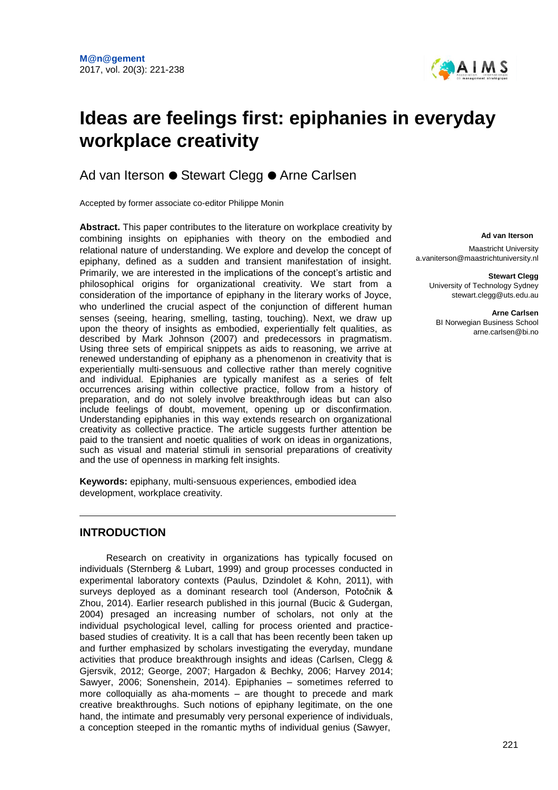

# **Ideas are feelings first: epiphanies in everyday workplace creativity**

## Ad van Iterson ● Stewart Clegg ● Arne Carlsen

Accepted by former associate co-editor Philippe Monin

**Abstract.** This paper contributes to the literature on workplace creativity by combining insights on epiphanies with theory on the embodied and relational nature of understanding. We explore and develop the concept of epiphany, defined as a sudden and transient manifestation of insight. Primarily, we are interested in the implications of the concept's artistic and philosophical origins for organizational creativity. We start from a consideration of the importance of epiphany in the literary works of Joyce, who underlined the crucial aspect of the conjunction of different human senses (seeing, hearing, smelling, tasting, touching). Next, we draw up upon the theory of insights as embodied, experientially felt qualities, as described by Mark Johnson (2007) and predecessors in pragmatism. Using three sets of empirical snippets as aids to reasoning, we arrive at renewed understanding of epiphany as a phenomenon in creativity that is experientially multi-sensuous and collective rather than merely cognitive and individual. Epiphanies are typically manifest as a series of felt occurrences arising within collective practice, follow from a history of preparation, and do not solely involve breakthrough ideas but can also include feelings of doubt, movement, opening up or disconfirmation. Understanding epiphanies in this way extends research on organizational creativity as collective practice. The article suggests further attention be paid to the transient and noetic qualities of work on ideas in organizations, such as visual and material stimuli in sensorial preparations of creativity and the use of openness in marking felt insights.

**Keywords:** epiphany, multi-sensuous experiences, embodied idea development, workplace creativity.

## **INTRODUCTION**

Research on creativity in organizations has typically focused on individuals (Sternberg & Lubart, 1999) and group processes conducted in experimental laboratory contexts (Paulus, Dzindolet & Kohn, 2011), with surveys deployed as a dominant research tool (Anderson, Potočnik & Zhou, 2014). Earlier research published in this journal (Bucic & Gudergan, 2004) presaged an increasing number of scholars, not only at the individual psychological level, calling for process oriented and practicebased studies of creativity. It is a call that has been recently been taken up and further emphasized by scholars investigating the everyday, mundane activities that produce breakthrough insights and ideas (Carlsen, Clegg & Gjersvik, 2012; George, 2007; Hargadon & Bechky, 2006; Harvey 2014; Sawyer, 2006; Sonenshein, 2014). Epiphanies – sometimes referred to more colloquially as aha-moments – are thought to precede and mark creative breakthroughs. Such notions of epiphany legitimate, on the one hand, the intimate and presumably very personal experience of individuals, a conception steeped in the romantic myths of individual genius (Sawyer,

#### **Ad van Iterson**

Maastricht Universit[y](mailto:a.vaniterson@maastrichtuniversity.nl) [a.vaniterson@maastrichtuniversity.nl](mailto:a.vaniterson@maastrichtuniversity.nl)

> **Stewart Clegg**  University of Technology Sydney [stewart.clegg@uts.edu.au](mailto:stewart.clegg@uts.edu.au)

> > **Arne Carlsen** BI Norwegian Business School [arne.carlsen@bi.no](mailto:arne.carlsen@bi.no)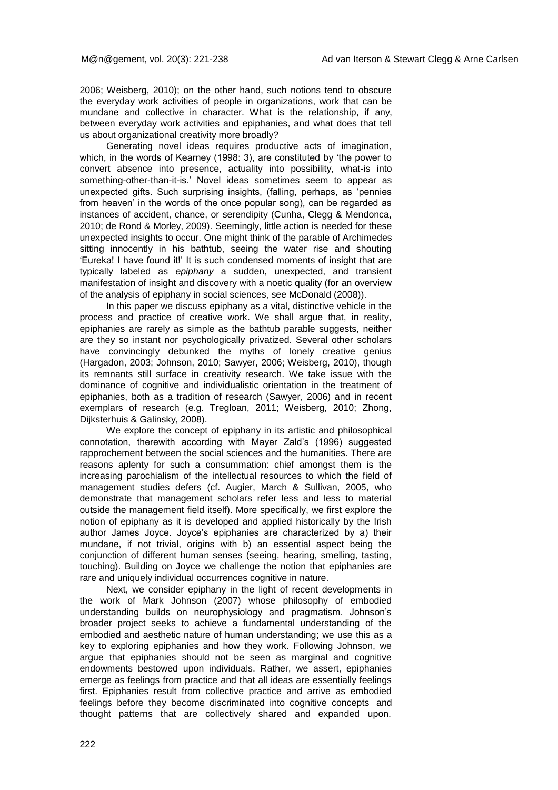2006; Weisberg, 2010); on the other hand, such notions tend to obscure the everyday work activities of people in organizations, work that can be mundane and collective in character. What is the relationship, if any, between everyday work activities and epiphanies, and what does that tell us about organizational creativity more broadly?

Generating novel ideas requires productive acts of imagination, which, in the words of Kearney (1998: 3), are constituted by 'the power to convert absence into presence, actuality into possibility, what-is into something-other-than-it-is.' Novel ideas sometimes seem to appear as unexpected gifts. Such surprising insights, (falling, perhaps, as 'pennies from heaven' in the words of the once popular song), can be regarded as instances of accident, chance, or serendipity (Cunha, Clegg & Mendonca, 2010; de Rond & Morley, 2009). Seemingly, little action is needed for these unexpected insights to occur. One might think of the parable of Archimedes sitting innocently in his bathtub, seeing the water rise and shouting 'Eureka! I have found it!' It is such condensed moments of insight that are typically labeled as *epiphany* a sudden, unexpected, and transient manifestation of insight and discovery with a noetic quality (for an overview of the analysis of epiphany in social sciences, see McDonald (2008)).

In this paper we discuss epiphany as a vital, distinctive vehicle in the process and practice of creative work. We shall argue that, in reality, epiphanies are rarely as simple as the bathtub parable suggests, neither are they so instant nor psychologically privatized. Several other scholars have convincingly debunked the myths of lonely creative genius (Hargadon, 2003; Johnson, 2010; Sawyer, 2006; Weisberg, 2010), though its remnants still surface in creativity research. We take issue with the dominance of cognitive and individualistic orientation in the treatment of epiphanies, both as a tradition of research (Sawyer, 2006) and in recent exemplars of research (e.g. Tregloan, 2011; Weisberg, 2010; Zhong, Dijksterhuis & Galinsky, 2008).

We explore the concept of epiphany in its artistic and philosophical connotation, therewith according with Mayer Zald's (1996) suggested rapprochement between the social sciences and the humanities. There are reasons aplenty for such a consummation: chief amongst them is the increasing parochialism of the intellectual resources to which the field of management studies defers (cf. Augier, March & Sullivan, 2005, who demonstrate that management scholars refer less and less to material outside the management field itself). More specifically, we first explore the notion of epiphany as it is developed and applied historically by the Irish author James Joyce. Joyce's epiphanies are characterized by a) their mundane, if not trivial, origins with b) an essential aspect being the conjunction of different human senses (seeing, hearing, smelling, tasting, touching). Building on Joyce we challenge the notion that epiphanies are rare and uniquely individual occurrences cognitive in nature.

Next, we consider epiphany in the light of recent developments in the work of Mark Johnson (2007) whose philosophy of embodied understanding builds on neurophysiology and pragmatism. Johnson's broader project seeks to achieve a fundamental understanding of the embodied and aesthetic nature of human understanding; we use this as a key to exploring epiphanies and how they work. Following Johnson, we argue that epiphanies should not be seen as marginal and cognitive endowments bestowed upon individuals. Rather, we assert, epiphanies emerge as feelings from practice and that all ideas are essentially feelings first. Epiphanies result from collective practice and arrive as embodied feelings before they become discriminated into cognitive concepts and thought patterns that are collectively shared and expanded upon.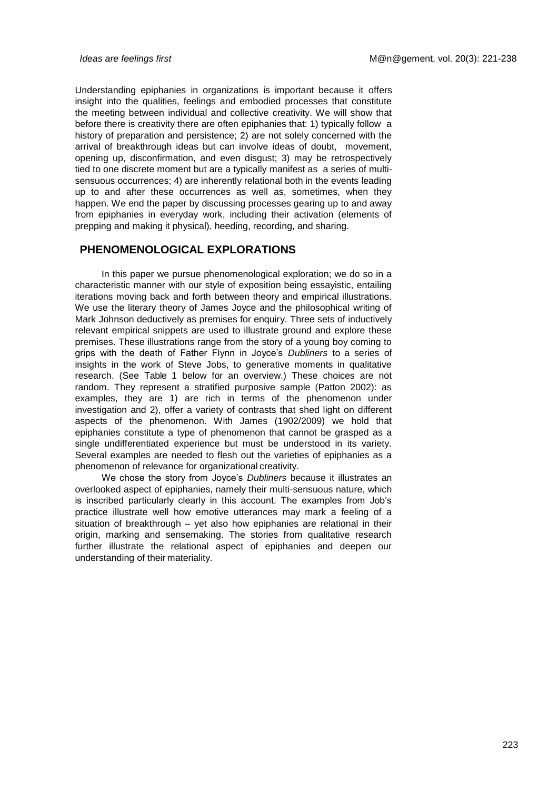Understanding epiphanies in organizations is important because it offers insight into the qualities, feelings and embodied processes that constitute the meeting between individual and collective creativity. We will show that before there is creativity there are often epiphanies that: 1) typically follow a history of preparation and persistence; 2) are not solely concerned with the arrival of breakthrough ideas but can involve ideas of doubt, movement, opening up, disconfirmation, and even disgust; 3) may be retrospectively tied to one discrete moment but are a typically manifest as a series of multisensuous occurrences; 4) are inherently relational both in the events leading up to and after these occurrences as well as, sometimes, when they happen. We end the paper by discussing processes gearing up to and away from epiphanies in everyday work, including their activation (elements of prepping and making it physical), heeding, recording, and sharing.

### **PHENOMENOLOGICAL EXPLORATIONS**

In this paper we pursue phenomenological exploration; we do so in a characteristic manner with our style of exposition being essayistic, entailing iterations moving back and forth between theory and empirical illustrations. We use the literary theory of James Joyce and the philosophical writing of Mark Johnson deductively as premises for enquiry. Three sets of inductively relevant empirical snippets are used to illustrate ground and explore these premises. These illustrations range from the story of a young boy coming to grips with the death of Father Flynn in Joyce's *Dubliners* to a series of insights in the work of Steve Jobs, to generative moments in qualitative research. (See Table 1 below for an overview.) These choices are not random. They represent a stratified purposive sample (Patton 2002): as examples, they are 1) are rich in terms of the phenomenon under investigation and 2), offer a variety of contrasts that shed light on different aspects of the phenomenon. With James (1902/2009) we hold that epiphanies constitute a type of phenomenon that cannot be grasped as a single undifferentiated experience but must be understood in its variety. Several examples are needed to flesh out the varieties of epiphanies as a phenomenon of relevance for organizational creativity.

We chose the story from Joyce's *Dubliners* because it illustrates an overlooked aspect of epiphanies, namely their multi-sensuous nature, which is inscribed particularly clearly in this account. The examples from Job's practice illustrate well how emotive utterances may mark a feeling of a situation of breakthrough – yet also how epiphanies are relational in their origin, marking and sensemaking. The stories from qualitative research further illustrate the relational aspect of epiphanies and deepen our understanding of their materiality.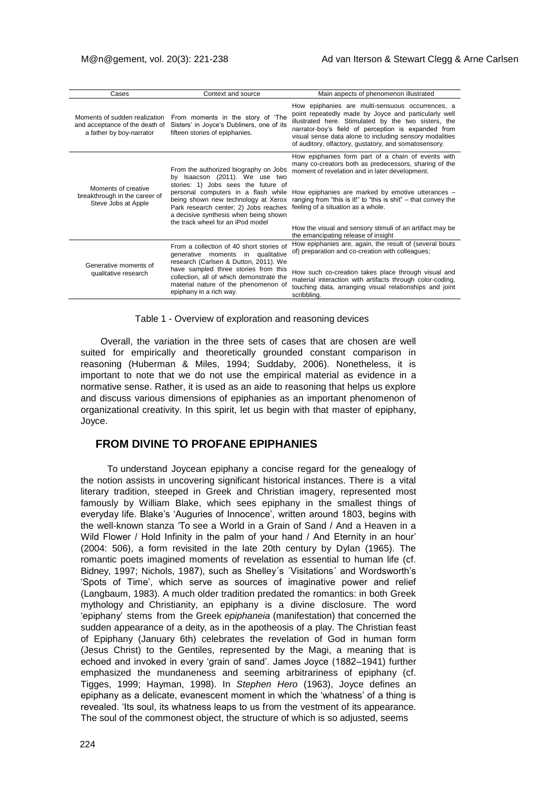| Cases                                                                                       | Context and source                                                                                                                                                                                                                                                                                                  | Main aspects of phenomenon illustrated                                                                                                                                                                                                                                                                                                      |
|---------------------------------------------------------------------------------------------|---------------------------------------------------------------------------------------------------------------------------------------------------------------------------------------------------------------------------------------------------------------------------------------------------------------------|---------------------------------------------------------------------------------------------------------------------------------------------------------------------------------------------------------------------------------------------------------------------------------------------------------------------------------------------|
| Moments of sudden realization<br>and acceptance of the death of<br>a father by boy-narrator | From moments in the story of 'The<br>Sisters' in Joyce's Dubliners, one of its<br>fifteen stories of epiphanies.                                                                                                                                                                                                    | How epiphanies are multi-sensuous occurrences, a<br>point repeatedly made by Joyce and particularly well<br>illustrated here. Stimulated by the two sisters, the<br>narrator-boy's field of perception is expanded from<br>visual sense data alone to including sensory modalities<br>of auditory, olfactory, gustatory, and somatosensory. |
| Moments of creative<br>breakthrough in the career of<br>Steve Jobs at Apple                 | From the authorized biography on Jobs<br>by Isaacson (2011). We use two<br>stories: 1) Jobs sees the future of<br>personal computers in a flash while<br>being shown new technology at Xerox<br>Park research center; 2) Jobs reaches<br>a decisive synthesis when being shown<br>the track wheel for an iPod model | How epiphanies form part of a chain of events with<br>many co-creators both as predecessors, sharing of the<br>moment of revelation and in later development.                                                                                                                                                                               |
|                                                                                             |                                                                                                                                                                                                                                                                                                                     | How epiphanies are marked by emotive utterances -<br>ranging from "this is it!" to "this is shit" – that convey the<br>feeling of a situation as a whole.                                                                                                                                                                                   |
|                                                                                             |                                                                                                                                                                                                                                                                                                                     | How the visual and sensory stimuli of an artifact may be<br>the emancipating release of insight                                                                                                                                                                                                                                             |
| Generative moments of<br>qualitative research                                               | From a collection of 40 short stories of<br>generative moments in<br>qualitative<br>research (Carlsen & Dutton, 2011). We<br>have sampled three stories from this<br>collection, all of which demonstrate the<br>material nature of the phenomenon of<br>epiphany in a rich way.                                    | How epiphanies are, again, the result of (several bouts<br>of) preparation and co-creation with colleagues;                                                                                                                                                                                                                                 |
|                                                                                             |                                                                                                                                                                                                                                                                                                                     | How such co-creation takes place through visual and<br>material interaction with artifacts through color-coding,<br>touching data, arranging visual relationships and joint<br>scribbling.                                                                                                                                                  |

Table 1 - Overview of exploration and reasoning devices

Overall, the variation in the three sets of cases that are chosen are well suited for empirically and theoretically grounded constant comparison in reasoning (Huberman & Miles, 1994; Suddaby, 2006). Nonetheless, it is important to note that we do not use the empirical material as evidence in a normative sense. Rather, it is used as an aide to reasoning that helps us explore and discuss various dimensions of epiphanies as an important phenomenon of organizational creativity. In this spirit, let us begin with that master of epiphany, Joyce.

## **FROM DIVINE TO PROFANE EPIPHANIES**

To understand Joycean epiphany a concise regard for the genealogy of the notion assists in uncovering significant historical instances. There is a vital literary tradition, steeped in Greek and Christian imagery, represented most famously by William Blake, which sees epiphany in the smallest things of everyday life. Blake's 'Auguries of Innocence', written around 1803, begins with the well-known stanza 'To see a World in a Grain of Sand / And a Heaven in a Wild Flower / Hold Infinity in the palm of your hand / And Eternity in an hour' (2004: 506), a form revisited in the late 20th century by Dylan (1965). The romantic poets imagined moments of revelation as essential to human life (cf. Bidney, 1997; Nichols, 1987), such as Shelley´s ´Visitations´ and Wordsworth's 'Spots of Time', which serve as sources of imaginative power and relief (Langbaum, 1983). A much older tradition predated the romantics: in both Greek mythology and Christianity, an epiphany is a divine disclosure. The word 'epiphany' stems from the Greek *epiphaneia* (manifestation) that concerned the sudden appearance of a deity, as in the apotheosis of a play. The Christian feast of Epiphany (January 6th) celebrates the revelation of God in human form (Jesus Christ) to the Gentiles, represented by the Magi, a meaning that is echoed and invoked in every 'grain of sand'. James Joyce (1882–1941) further emphasized the mundaneness and seeming arbitrariness of epiphany (cf. Tigges, 1999; Hayman, 1998). In *Stephen Hero* (1963), Joyce defines an epiphany as a delicate, evanescent moment in which the 'whatness' of a thing is revealed. 'Its soul, its whatness leaps to us from the vestment of its appearance. The soul of the commonest object, the structure of which is so adjusted, seems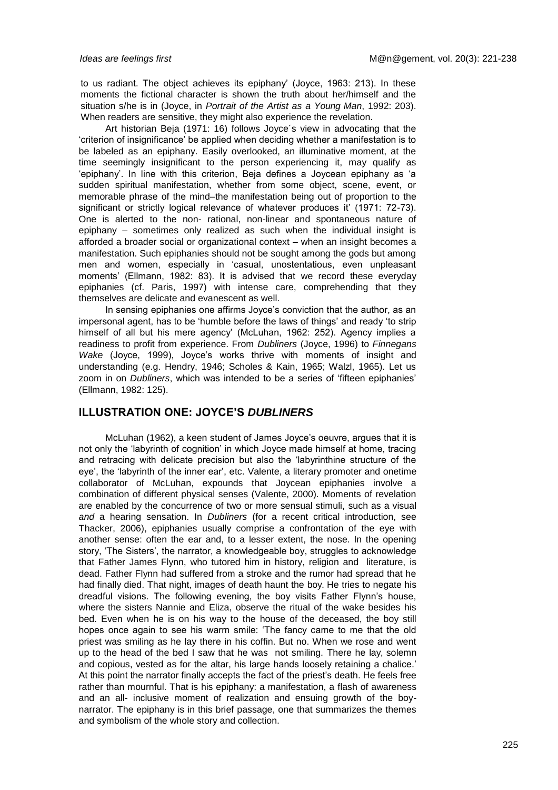to us radiant. The object achieves its epiphany' (Joyce, 1963: 213). In these moments the fictional character is shown the truth about her/himself and the situation s/he is in (Joyce, in *Portrait of the Artist as a Young Man*, 1992: 203). When readers are sensitive, they might also experience the revelation.

Art historian Beja (1971: 16) follows Joyce´s view in advocating that the 'criterion of insignificance' be applied when deciding whether a manifestation is to be labeled as an epiphany. Easily overlooked, an illuminative moment, at the time seemingly insignificant to the person experiencing it, may qualify as 'epiphany'. In line with this criterion, Beja defines a Joycean epiphany as 'a sudden spiritual manifestation, whether from some object, scene, event, or memorable phrase of the mind–the manifestation being out of proportion to the significant or strictly logical relevance of whatever produces it' (1971: 72-73). One is alerted to the non- rational, non-linear and spontaneous nature of epiphany – sometimes only realized as such when the individual insight is afforded a broader social or organizational context – when an insight becomes a manifestation. Such epiphanies should not be sought among the gods but among men and women, especially in 'casual, unostentatious, even unpleasant moments' (Ellmann, 1982: 83). It is advised that we record these everyday epiphanies (cf. Paris, 1997) with intense care, comprehending that they themselves are delicate and evanescent as well.

In sensing epiphanies one affirms Joyce's conviction that the author, as an impersonal agent, has to be 'humble before the laws of things' and ready 'to strip himself of all but his mere agency' (McLuhan, 1962: 252). Agency implies a readiness to profit from experience. From *Dubliners* (Joyce, 1996) to *Finnegans Wake* (Joyce, 1999), Joyce's works thrive with moments of insight and understanding (e.g. Hendry, 1946; Scholes & Kain, 1965; Walzl, 1965). Let us zoom in on *Dubliners*, which was intended to be a series of 'fifteen epiphanies' (Ellmann, 1982: 125).

## **ILLUSTRATION ONE: JOYCE'S** *DUBLINERS*

McLuhan (1962), a keen student of James Joyce's oeuvre, argues that it is not only the 'labyrinth of cognition' in which Joyce made himself at home, tracing and retracing with delicate precision but also the 'labyrinthine structure of the eye', the 'labyrinth of the inner ear', etc. Valente, a literary promoter and onetime collaborator of McLuhan, expounds that Joycean epiphanies involve a combination of different physical senses (Valente, 2000). Moments of revelation are enabled by the concurrence of two or more sensual stimuli, such as a visual *and* a hearing sensation. In *Dubliners* (for a recent critical introduction, see Thacker, 2006), epiphanies usually comprise a confrontation of the eye with another sense: often the ear and, to a lesser extent, the nose. In the opening story, 'The Sisters', the narrator, a knowledgeable boy, struggles to acknowledge that Father James Flynn, who tutored him in history, religion and literature, is dead. Father Flynn had suffered from a stroke and the rumor had spread that he had finally died. That night, images of death haunt the boy. He tries to negate his dreadful visions. The following evening, the boy visits Father Flynn's house, where the sisters Nannie and Eliza, observe the ritual of the wake besides his bed. Even when he is on his way to the house of the deceased, the boy still hopes once again to see his warm smile: 'The fancy came to me that the old priest was smiling as he lay there in his coffin. But no. When we rose and went up to the head of the bed I saw that he was not smiling. There he lay, solemn and copious, vested as for the altar, his large hands loosely retaining a chalice.' At this point the narrator finally accepts the fact of the priest's death. He feels free rather than mournful. That is his epiphany: a manifestation, a flash of awareness and an all- inclusive moment of realization and ensuing growth of the boynarrator. The epiphany is in this brief passage, one that summarizes the themes and symbolism of the whole story and collection.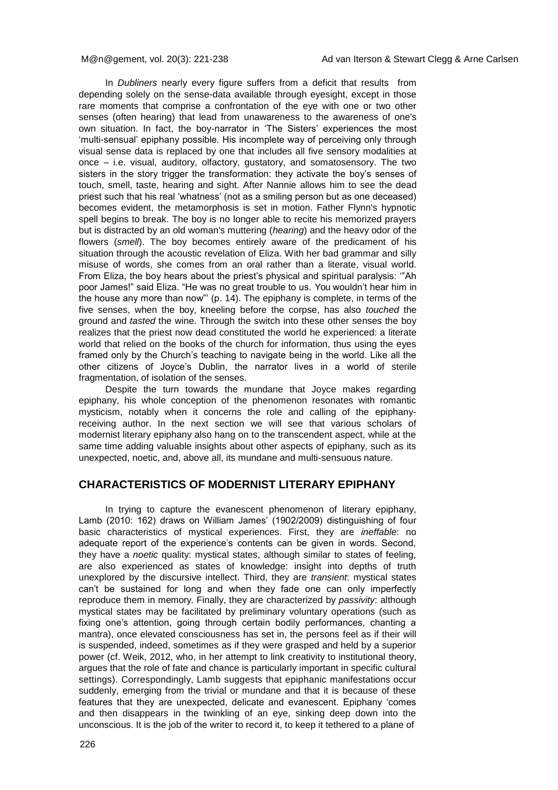In *Dubliners* nearly every figure suffers from a deficit that results from depending solely on the sense-data available through eyesight, except in those rare moments that comprise a confrontation of the eye with one or two other senses (often hearing) that lead from unawareness to the awareness of one's own situation. In fact, the boy-narrator in 'The Sisters' experiences the most 'multi-sensual' epiphany possible. His incomplete way of perceiving only through visual sense data is replaced by one that includes all five sensory modalities at once – i.e. visual, auditory, olfactory, gustatory, and somatosensory. The two sisters in the story trigger the transformation: they activate the boy's senses of touch, smell, taste, hearing and sight. After Nannie allows him to see the dead priest such that his real 'whatness' (not as a smiling person but as one deceased) becomes evident, the metamorphosis is set in motion. Father Flynn's hypnotic spell begins to break. The boy is no longer able to recite his memorized prayers but is distracted by an old woman's muttering (*hearing*) and the heavy odor of the flowers (*smell*). The boy becomes entirely aware of the predicament of his situation through the acoustic revelation of Eliza. With her bad grammar and silly misuse of words, she comes from an oral rather than a literate, visual world. From Eliza, the boy hears about the priest's physical and spiritual paralysis: '"Ah poor James!" said Eliza. "He was no great trouble to us. You wouldn't hear him in the house any more than now"' (p. 14). The epiphany is complete, in terms of the five senses, when the boy, kneeling before the corpse, has also *touched* the ground and *tasted* the wine. Through the switch into these other senses the boy realizes that the priest now dead constituted the world he experienced: a literate world that relied on the books of the church for information, thus using the eyes framed only by the Church's teaching to navigate being in the world. Like all the other citizens of Joyce's Dublin, the narrator lives in a world of sterile fragmentation, of isolation of the senses.

Despite the turn towards the mundane that Joyce makes regarding epiphany, his whole conception of the phenomenon resonates with romantic mysticism, notably when it concerns the role and calling of the epiphanyreceiving author. In the next section we will see that various scholars of modernist literary epiphany also hang on to the transcendent aspect, while at the same time adding valuable insights about other aspects of epiphany, such as its unexpected, noetic, and, above all, its mundane and multi-sensuous nature.

## **CHARACTERISTICS OF MODERNIST LITERARY EPIPHANY**

In trying to capture the evanescent phenomenon of literary epiphany, Lamb (2010: 162) draws on William James' (1902/2009) distinguishing of four basic characteristics of mystical experiences. First, they are *ineffable*: no adequate report of the experience's contents can be given in words. Second, they have a *noetic* quality: mystical states, although similar to states of feeling, are also experienced as states of knowledge: insight into depths of truth unexplored by the discursive intellect. Third, they are *transient*: mystical states can't be sustained for long and when they fade one can only imperfectly reproduce them in memory. Finally, they are characterized by *passivity*: although mystical states may be facilitated by preliminary voluntary operations (such as fixing one's attention, going through certain bodily performances, chanting a mantra), once elevated consciousness has set in, the persons feel as if their will is suspended, indeed, sometimes as if they were grasped and held by a superior power (cf. Weik, 2012, who, in her attempt to link creativity to institutional theory, argues that the role of fate and chance is particularly important in specific cultural settings). Correspondingly, Lamb suggests that epiphanic manifestations occur suddenly, emerging from the trivial or mundane and that it is because of these features that they are unexpected, delicate and evanescent. Epiphany 'comes and then disappears in the twinkling of an eye, sinking deep down into the unconscious. It is the job of the writer to record it, to keep it tethered to a plane of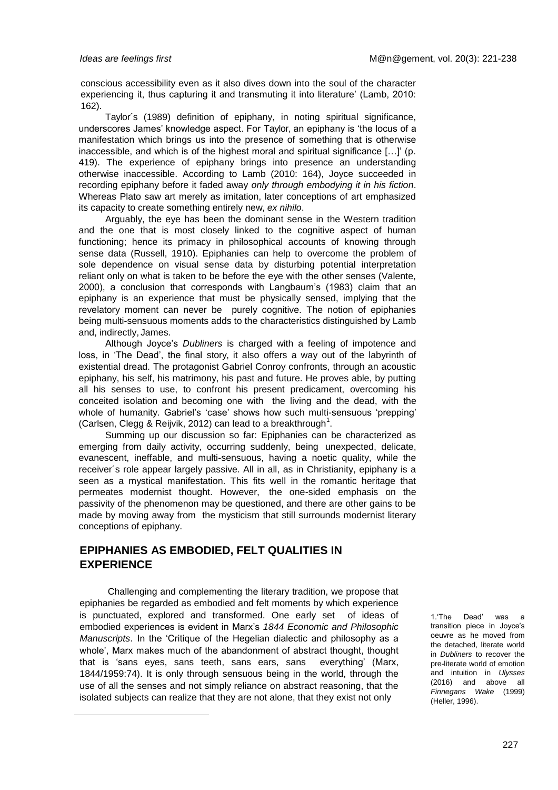conscious accessibility even as it also dives down into the soul of the character experiencing it, thus capturing it and transmuting it into literature' (Lamb, 2010: 162).

Taylor´s (1989) definition of epiphany, in noting spiritual significance, underscores James' knowledge aspect. For Taylor, an epiphany is 'the locus of a manifestation which brings us into the presence of something that is otherwise inaccessible, and which is of the highest moral and spiritual significance […]' (p. 419). The experience of epiphany brings into presence an understanding otherwise inaccessible. According to Lamb (2010: 164), Joyce succeeded in recording epiphany before it faded away *only through embodying it in his fiction*. Whereas Plato saw art merely as imitation, later conceptions of art emphasized its capacity to create something entirely new, *ex nihilo*.

Arguably, the eye has been the dominant sense in the Western tradition and the one that is most closely linked to the cognitive aspect of human functioning; hence its primacy in philosophical accounts of knowing through sense data (Russell, 1910). Epiphanies can help to overcome the problem of sole dependence on visual sense data by disturbing potential interpretation reliant only on what is taken to be before the eye with the other senses (Valente, 2000), a conclusion that corresponds with Langbaum's (1983) claim that an epiphany is an experience that must be physically sensed, implying that the revelatory moment can never be purely cognitive. The notion of epiphanies being multi-sensuous moments adds to the characteristics distinguished by Lamb and, indirectly, James.

Although Joyce's *Dubliners* is charged with a feeling of impotence and loss, in 'The Dead', the final story, it also offers a way out of the labyrinth of existential dread. The protagonist Gabriel Conroy confronts, through an acoustic epiphany, his self, his matrimony, his past and future. He proves able, by putting all his senses to use, to confront his present predicament, overcoming his conceited isolation and becoming one with the living and the dead, with the whole of humanity. Gabriel's 'case' shows how such multi-sensuous 'prepping' (Carlsen, Clegg & Reijvik, 2012) can lead to a breakthrough<sup>1</sup>.

Summing up our discussion so far: Epiphanies can be characterized as emerging from daily activity, occurring suddenly, being unexpected, delicate, evanescent, ineffable, and multi-sensuous, having a noetic quality, while the receiver´s role appear largely passive. All in all, as in Christianity, epiphany is a seen as a mystical manifestation. This fits well in the romantic heritage that permeates modernist thought. However, the one-sided emphasis on the passivity of the phenomenon may be questioned, and there are other gains to be made by moving away from the mysticism that still surrounds modernist literary conceptions of epiphany.

## **EPIPHANIES AS EMBODIED, FELT QUALITIES IN EXPERIENCE**

Challenging and complementing the literary tradition, we propose that epiphanies be regarded as embodied and felt moments by which experience is punctuated, explored and transformed. One early set of ideas of embodied experiences is evident in Marx's *1844 Economic and Philosophic Manuscripts*. In the 'Critique of the Hegelian dialectic and philosophy as a whole', Marx makes much of the abandonment of abstract thought, thought that is 'sans eyes, sans teeth, sans ears, sans everything' (Marx, 1844/1959:74). It is only through sensuous being in the world, through the use of all the senses and not simply reliance on abstract reasoning, that the isolated subjects can realize that they are not alone, that they exist not only

1.'The Dead' was a transition piece in Joyce's oeuvre as he moved from the detached, literate world in *Dubliners* to recover the pre-literate world of emotion and intuition in *Ulysses*  (2016) and above all *Finnegans Wake* (1999) (Heller, 1996).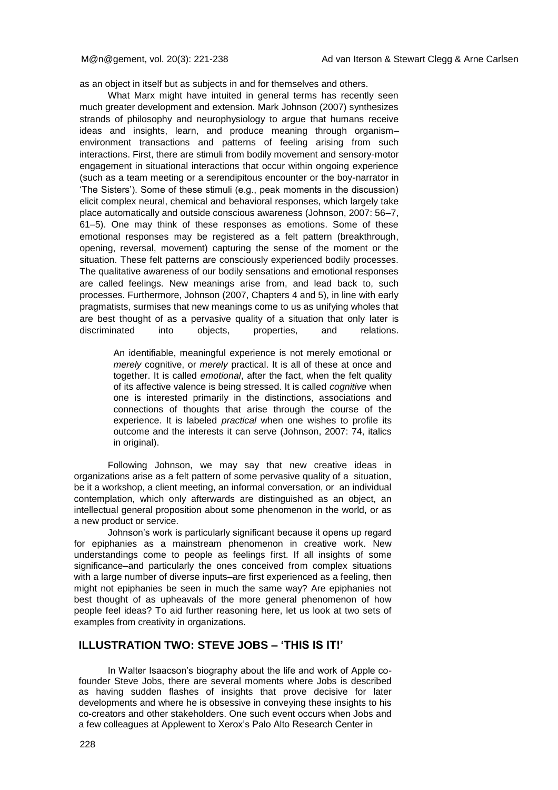as an object in itself but as subjects in and for themselves and others.

What Marx might have intuited in general terms has recently seen much greater development and extension. Mark Johnson (2007) synthesizes strands of philosophy and neurophysiology to argue that humans receive ideas and insights, learn, and produce meaning through organism– environment transactions and patterns of feeling arising from such interactions. First, there are stimuli from bodily movement and sensory-motor engagement in situational interactions that occur within ongoing experience (such as a team meeting or a serendipitous encounter or the boy-narrator in 'The Sisters'). Some of these stimuli (e.g., peak moments in the discussion) elicit complex neural, chemical and behavioral responses, which largely take place automatically and outside conscious awareness (Johnson, 2007: 56–7, 61–5). One may think of these responses as emotions. Some of these emotional responses may be registered as a felt pattern (breakthrough, opening, reversal, movement) capturing the sense of the moment or the situation. These felt patterns are consciously experienced bodily processes. The qualitative awareness of our bodily sensations and emotional responses are called feelings. New meanings arise from, and lead back to, such processes. Furthermore, Johnson (2007, Chapters 4 and 5), in line with early pragmatists, surmises that new meanings come to us as unifying wholes that are best thought of as a pervasive quality of a situation that only later is discriminated into objects, properties, and relations.

> An identifiable, meaningful experience is not merely emotional or *merely* cognitive, or *merely* practical. It is all of these at once and together. It is called *emotional*, after the fact, when the felt quality of its affective valence is being stressed. It is called *cognitive* when one is interested primarily in the distinctions, associations and connections of thoughts that arise through the course of the experience. It is labeled *practical* when one wishes to profile its outcome and the interests it can serve (Johnson, 2007: 74, italics in original).

Following Johnson, we may say that new creative ideas in organizations arise as a felt pattern of some pervasive quality of a situation, be it a workshop, a client meeting, an informal conversation, or an individual contemplation, which only afterwards are distinguished as an object, an intellectual general proposition about some phenomenon in the world, or as a new product or service.

Johnson's work is particularly significant because it opens up regard for epiphanies as a mainstream phenomenon in creative work. New understandings come to people as feelings first. If all insights of some significance–and particularly the ones conceived from complex situations with a large number of diverse inputs–are first experienced as a feeling, then might not epiphanies be seen in much the same way? Are epiphanies not best thought of as upheavals of the more general phenomenon of how people feel ideas? To aid further reasoning here, let us look at two sets of examples from creativity in organizations.

#### **ILLUSTRATION TWO: STEVE JOBS – 'THIS IS IT!'**

In Walter Isaacson's biography about the life and work of Apple cofounder Steve Jobs, there are several moments where Jobs is described as having sudden flashes of insights that prove decisive for later developments and where he is obsessive in conveying these insights to his co-creators and other stakeholders. One such event occurs when Jobs and a few colleagues at Applewent to Xerox's Palo Alto Research Center in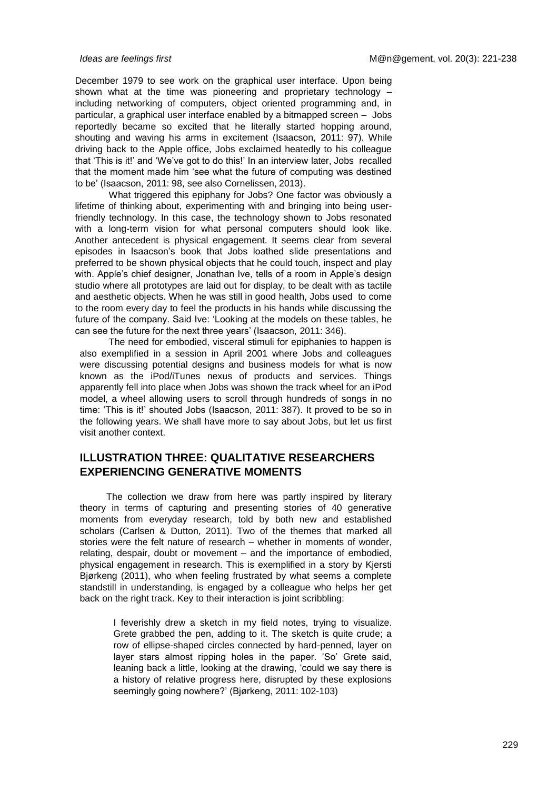December 1979 to see work on the graphical user interface. Upon being shown what at the time was pioneering and proprietary technology – including networking of computers, object oriented programming and, in particular, a graphical user interface enabled by a bitmapped screen – Jobs reportedly became so excited that he literally started hopping around, shouting and waving his arms in excitement (Isaacson, 2011: 97). While driving back to the Apple office, Jobs exclaimed heatedly to his colleague that 'This is it!' and 'We've got to do this!' In an interview later, Jobs recalled that the moment made him 'see what the future of computing was destined to be' (Isaacson, 2011: 98, see also Cornelissen, 2013).

What triggered this epiphany for Jobs? One factor was obviously a lifetime of thinking about, experimenting with and bringing into being userfriendly technology. In this case, the technology shown to Jobs resonated with a long-term vision for what personal computers should look like. Another antecedent is physical engagement. It seems clear from several episodes in Isaacson's book that Jobs loathed slide presentations and preferred to be shown physical objects that he could touch, inspect and play with. Apple's chief designer, Jonathan Ive, tells of a room in Apple's design studio where all prototypes are laid out for display, to be dealt with as tactile and aesthetic objects. When he was still in good health, Jobs used to come to the room every day to feel the products in his hands while discussing the future of the company. Said Ive: 'Looking at the models on these tables, he can see the future for the next three years' (Isaacson, 2011: 346).

The need for embodied, visceral stimuli for epiphanies to happen is also exemplified in a session in April 2001 where Jobs and colleagues were discussing potential designs and business models for what is now known as the iPod/iTunes nexus of products and services. Things apparently fell into place when Jobs was shown the track wheel for an iPod model, a wheel allowing users to scroll through hundreds of songs in no time: 'This is it!' shouted Jobs (Isaacson, 2011: 387). It proved to be so in the following years. We shall have more to say about Jobs, but let us first visit another context.

## **ILLUSTRATION THREE: QUALITATIVE RESEARCHERS EXPERIENCING GENERATIVE MOMENTS**

The collection we draw from here was partly inspired by literary theory in terms of capturing and presenting stories of 40 generative moments from everyday research, told by both new and established scholars (Carlsen & Dutton, 2011). Two of the themes that marked all stories were the felt nature of research – whether in moments of wonder, relating, despair, doubt or movement – and the importance of embodied, physical engagement in research. This is exemplified in a story by Kjersti Bjørkeng (2011), who when feeling frustrated by what seems a complete standstill in understanding, is engaged by a colleague who helps her get back on the right track. Key to their interaction is joint scribbling:

> I feverishly drew a sketch in my field notes, trying to visualize. Grete grabbed the pen, adding to it. The sketch is quite crude; a row of ellipse-shaped circles connected by hard-penned, layer on layer stars almost ripping holes in the paper. 'So' Grete said, leaning back a little, looking at the drawing, 'could we say there is a history of relative progress here, disrupted by these explosions seemingly going nowhere?' (Bjørkeng, 2011: 102-103)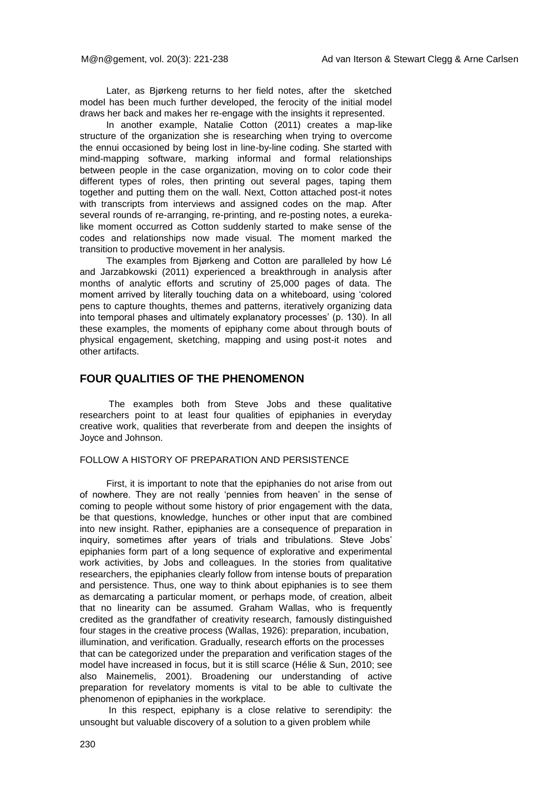Later, as Bjørkeng returns to her field notes, after the sketched model has been much further developed, the ferocity of the initial model draws her back and makes her re-engage with the insights it represented.

In another example, Natalie Cotton (2011) creates a map-like structure of the organization she is researching when trying to overcome the ennui occasioned by being lost in line-by-line coding. She started with mind-mapping software, marking informal and formal relationships between people in the case organization, moving on to color code their different types of roles, then printing out several pages, taping them together and putting them on the wall. Next, Cotton attached post-it notes with transcripts from interviews and assigned codes on the map. After several rounds of re-arranging, re-printing, and re-posting notes, a eurekalike moment occurred as Cotton suddenly started to make sense of the codes and relationships now made visual. The moment marked the transition to productive movement in her analysis.

The examples from Bjørkeng and Cotton are paralleled by how Lé and Jarzabkowski (2011) experienced a breakthrough in analysis after months of analytic efforts and scrutiny of 25,000 pages of data. The moment arrived by literally touching data on a whiteboard, using 'colored pens to capture thoughts, themes and patterns, iteratively organizing data into temporal phases and ultimately explanatory processes' (p. 130). In all these examples, the moments of epiphany come about through bouts of physical engagement, sketching, mapping and using post-it notes and other artifacts.

## **FOUR QUALITIES OF THE PHENOMENON**

The examples both from Steve Jobs and these qualitative researchers point to at least four qualities of epiphanies in everyday creative work, qualities that reverberate from and deepen the insights of Joyce and Johnson.

#### FOLLOW A HISTORY OF PREPARATION AND PERSISTENCE

First, it is important to note that the epiphanies do not arise from out of nowhere. They are not really 'pennies from heaven' in the sense of coming to people without some history of prior engagement with the data, be that questions, knowledge, hunches or other input that are combined into new insight. Rather, epiphanies are a consequence of preparation in inquiry, sometimes after years of trials and tribulations. Steve Jobs' epiphanies form part of a long sequence of explorative and experimental work activities, by Jobs and colleagues. In the stories from qualitative researchers, the epiphanies clearly follow from intense bouts of preparation and persistence. Thus, one way to think about epiphanies is to see them as demarcating a particular moment, or perhaps mode, of creation, albeit that no linearity can be assumed. Graham Wallas, who is frequently credited as the grandfather of creativity research, famously distinguished four stages in the creative process (Wallas, 1926): preparation, incubation, illumination, and verification. Gradually, research efforts on the processes that can be categorized under the preparation and verification stages of the model have increased in focus, but it is still scarce (Hélie & Sun, 2010; see also Mainemelis, 2001). Broadening our understanding of active preparation for revelatory moments is vital to be able to cultivate the phenomenon of epiphanies in the workplace.

In this respect, epiphany is a close relative to serendipity: the unsought but valuable discovery of a solution to a given problem while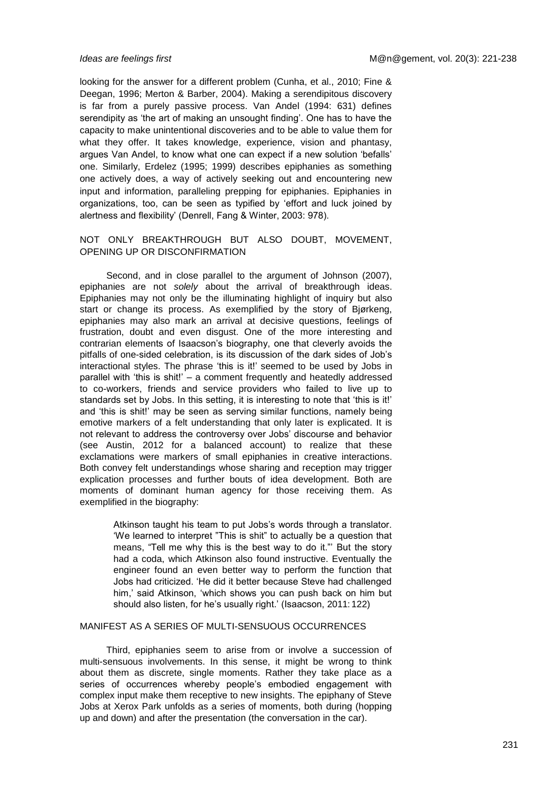looking for the answer for a different problem (Cunha, et al., 2010; Fine & Deegan, 1996; Merton & Barber, 2004). Making a serendipitous discovery is far from a purely passive process. Van Andel (1994: 631) defines serendipity as 'the art of making an unsought finding'. One has to have the capacity to make unintentional discoveries and to be able to value them for what they offer. It takes knowledge, experience, vision and phantasy, argues Van Andel, to know what one can expect if a new solution 'befalls' one. Similarly, Erdelez (1995; 1999) describes epiphanies as something one actively does, a way of actively seeking out and encountering new input and information, paralleling prepping for epiphanies. Epiphanies in organizations, too, can be seen as typified by 'effort and luck joined by alertness and flexibility' (Denrell, Fang & Winter, 2003: 978).

#### NOT ONLY BREAKTHROUGH BUT ALSO DOUBT, MOVEMENT, OPENING UP OR DISCONFIRMATION

Second, and in close parallel to the argument of Johnson (2007), epiphanies are not *solely* about the arrival of breakthrough ideas. Epiphanies may not only be the illuminating highlight of inquiry but also start or change its process. As exemplified by the story of Bjørkeng, epiphanies may also mark an arrival at decisive questions, feelings of frustration, doubt and even disgust. One of the more interesting and contrarian elements of Isaacson's biography, one that cleverly avoids the pitfalls of one-sided celebration, is its discussion of the dark sides of Job's interactional styles. The phrase 'this is it!' seemed to be used by Jobs in parallel with 'this is shit!' – a comment frequently and heatedly addressed to co-workers, friends and service providers who failed to live up to standards set by Jobs. In this setting, it is interesting to note that 'this is it!' and 'this is shit!' may be seen as serving similar functions, namely being emotive markers of a felt understanding that only later is explicated. It is not relevant to address the controversy over Jobs' discourse and behavior (see Austin, 2012 for a balanced account) to realize that these exclamations were markers of small epiphanies in creative interactions. Both convey felt understandings whose sharing and reception may trigger explication processes and further bouts of idea development. Both are moments of dominant human agency for those receiving them. As exemplified in the biography:

> Atkinson taught his team to put Jobs's words through a translator. 'We learned to interpret "This is shit" to actually be a question that means, "Tell me why this is the best way to do it."' But the story had a coda, which Atkinson also found instructive. Eventually the engineer found an even better way to perform the function that Jobs had criticized. 'He did it better because Steve had challenged him,' said Atkinson, 'which shows you can push back on him but should also listen, for he's usually right.' (Isaacson, 2011: 122)

#### MANIFEST AS A SERIES OF MULTI-SENSUOUS OCCURRENCES

Third, epiphanies seem to arise from or involve a succession of multi-sensuous involvements. In this sense, it might be wrong to think about them as discrete, single moments. Rather they take place as a series of occurrences whereby people's embodied engagement with complex input make them receptive to new insights. The epiphany of Steve Jobs at Xerox Park unfolds as a series of moments, both during (hopping up and down) and after the presentation (the conversation in the car).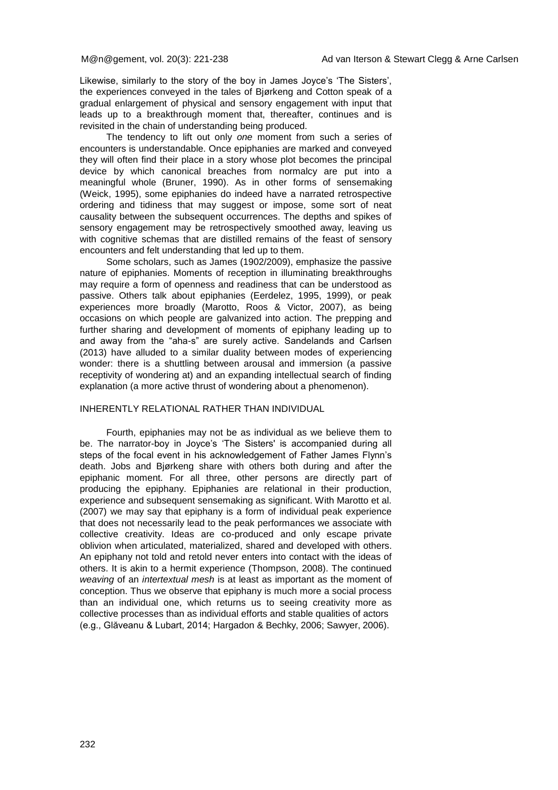Likewise, similarly to the story of the boy in James Joyce's 'The Sisters', the experiences conveyed in the tales of Bjørkeng and Cotton speak of a gradual enlargement of physical and sensory engagement with input that leads up to a breakthrough moment that, thereafter, continues and is revisited in the chain of understanding being produced.

The tendency to lift out only *one* moment from such a series of encounters is understandable. Once epiphanies are marked and conveyed they will often find their place in a story whose plot becomes the principal device by which canonical breaches from normalcy are put into a meaningful whole (Bruner, 1990). As in other forms of sensemaking (Weick, 1995), some epiphanies do indeed have a narrated retrospective ordering and tidiness that may suggest or impose, some sort of neat causality between the subsequent occurrences. The depths and spikes of sensory engagement may be retrospectively smoothed away, leaving us with cognitive schemas that are distilled remains of the feast of sensory encounters and felt understanding that led up to them.

Some scholars, such as James (1902/2009), emphasize the passive nature of epiphanies. Moments of reception in illuminating breakthroughs may require a form of openness and readiness that can be understood as passive. Others talk about epiphanies (Eerdelez, 1995, 1999), or peak experiences more broadly (Marotto, Roos & Victor, 2007), as being occasions on which people are galvanized into action. The prepping and further sharing and development of moments of epiphany leading up to and away from the "aha-s" are surely active. Sandelands and Carlsen (2013) have alluded to a similar duality between modes of experiencing wonder: there is a shuttling between arousal and immersion (a passive receptivity of wondering at) and an expanding intellectual search of finding explanation (a more active thrust of wondering about a phenomenon).

#### INHERENTLY RELATIONAL RATHER THAN INDIVIDUAL

Fourth, epiphanies may not be as individual as we believe them to be. The narrator-boy in Joyce's 'The Sisters' is accompanied during all steps of the focal event in his acknowledgement of Father James Flynn's death. Jobs and Bjørkeng share with others both during and after the epiphanic moment. For all three, other persons are directly part of producing the epiphany. Epiphanies are relational in their production, experience and subsequent sensemaking as significant. With Marotto et al. (2007) we may say that epiphany is a form of individual peak experience that does not necessarily lead to the peak performances we associate with collective creativity. Ideas are co-produced and only escape private oblivion when articulated, materialized, shared and developed with others. An epiphany not told and retold never enters into contact with the ideas of others. It is akin to a hermit experience (Thompson, 2008). The continued *weaving* of an *intertextual mesh* is at least as important as the moment of conception. Thus we observe that epiphany is much more a social process than an individual one, which returns us to seeing creativity more as collective processes than as individual efforts and stable qualities of actors (e.g., Glăveanu & Lubart, 2014; Hargadon & Bechky, 2006; Sawyer, 2006).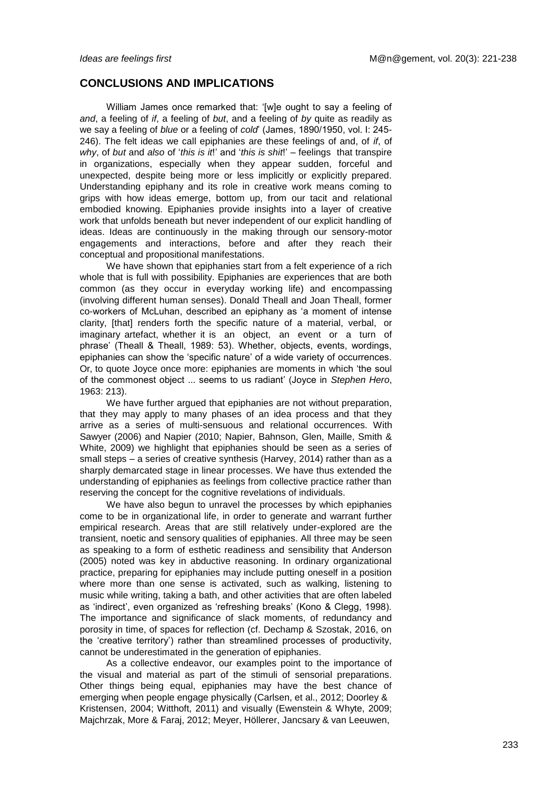## **CONCLUSIONS AND IMPLICATIONS**

William James once remarked that: '[w]e ought to say a feeling of *and*, a feeling of *if*, a feeling of *but*, and a feeling of *by* quite as readily as we say a feeling of *blue* or a feeling of *cold*' (James, 1890/1950, vol. I: 245- 246). The felt ideas we call epiphanies are these feelings of and, of *if*, of *why*, of *but* and *also* of '*this is it*!' and '*this is shit*!' – feelings that transpire in organizations, especially when they appear sudden, forceful and unexpected, despite being more or less implicitly or explicitly prepared. Understanding epiphany and its role in creative work means coming to grips with how ideas emerge, bottom up, from our tacit and relational embodied knowing. Epiphanies provide insights into a layer of creative work that unfolds beneath but never independent of our explicit handling of ideas. Ideas are continuously in the making through our sensory-motor engagements and interactions, before and after they reach their conceptual and propositional manifestations.

We have shown that epiphanies start from a felt experience of a rich whole that is full with possibility. Epiphanies are experiences that are both common (as they occur in everyday working life) and encompassing (involving different human senses). Donald Theall and Joan Theall, former co-workers of McLuhan, described an epiphany as 'a moment of intense clarity, [that] renders forth the specific nature of a material, verbal, or imaginary artefact, whether it is an object, an event or a turn of phrase' (Theall & Theall, 1989: 53). Whether, objects, events, wordings, epiphanies can show the 'specific nature' of a wide variety of occurrences. Or, to quote Joyce once more: epiphanies are moments in which 'the soul of the commonest object ... seems to us radiant' (Joyce in *Stephen Hero*, 1963: 213).

We have further argued that epiphanies are not without preparation, that they may apply to many phases of an idea process and that they arrive as a series of multi-sensuous and relational occurrences. With Sawyer (2006) and Napier (2010; Napier, Bahnson, Glen, Maille, Smith & White, 2009) we highlight that epiphanies should be seen as a series of small steps – a series of creative synthesis (Harvey, 2014) rather than as a sharply demarcated stage in linear processes. We have thus extended the understanding of epiphanies as feelings from collective practice rather than reserving the concept for the cognitive revelations of individuals.

We have also begun to unravel the processes by which epiphanies come to be in organizational life, in order to generate and warrant further empirical research. Areas that are still relatively under-explored are the transient, noetic and sensory qualities of epiphanies. All three may be seen as speaking to a form of esthetic readiness and sensibility that Anderson (2005) noted was key in abductive reasoning. In ordinary organizational practice, preparing for epiphanies may include putting oneself in a position where more than one sense is activated, such as walking, listening to music while writing, taking a bath, and other activities that are often labeled as 'indirect', even organized as 'refreshing breaks' (Kono & Clegg, 1998). The importance and significance of slack moments, of redundancy and porosity in time, of spaces for reflection (cf. Dechamp & Szostak, 2016, on the 'creative territory') rather than streamlined processes of productivity, cannot be underestimated in the generation of epiphanies.

As a collective endeavor, our examples point to the importance of the visual and material as part of the stimuli of sensorial preparations. Other things being equal, epiphanies may have the best chance of emerging when people engage physically (Carlsen, et al., 2012; Doorley & Kristensen, 2004; Witthoft, 2011) and visually (Ewenstein & Whyte, 2009; Majchrzak, More & Faraj, 2012; Meyer, Höllerer, Jancsary & van Leeuwen,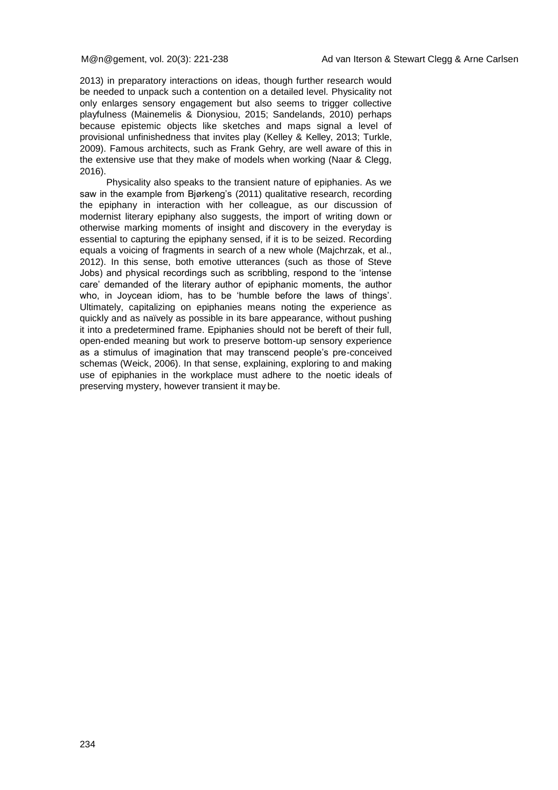2013) in preparatory interactions on ideas, though further research would be needed to unpack such a contention on a detailed level. Physicality not only enlarges sensory engagement but also seems to trigger collective playfulness (Mainemelis & Dionysiou, 2015; Sandelands, 2010) perhaps because epistemic objects like sketches and maps signal a level of provisional unfinishedness that invites play (Kelley & Kelley, 2013; Turkle, 2009). Famous architects, such as Frank Gehry, are well aware of this in the extensive use that they make of models when working (Naar & Clegg, 2016).

Physicality also speaks to the transient nature of epiphanies. As we saw in the example from Bjørkeng's (2011) qualitative research, recording the epiphany in interaction with her colleague, as our discussion of modernist literary epiphany also suggests, the import of writing down or otherwise marking moments of insight and discovery in the everyday is essential to capturing the epiphany sensed, if it is to be seized. Recording equals a voicing of fragments in search of a new whole (Majchrzak, et al., 2012). In this sense, both emotive utterances (such as those of Steve Jobs) and physical recordings such as scribbling, respond to the 'intense care' demanded of the literary author of epiphanic moments, the author who, in Joycean idiom, has to be 'humble before the laws of things'. Ultimately, capitalizing on epiphanies means noting the experience as quickly and as naïvely as possible in its bare appearance, without pushing it into a predetermined frame. Epiphanies should not be bereft of their full, open-ended meaning but work to preserve bottom-up sensory experience as a stimulus of imagination that may transcend people's pre-conceived schemas (Weick, 2006). In that sense, explaining, exploring to and making use of epiphanies in the workplace must adhere to the noetic ideals of preserving mystery, however transient it may be.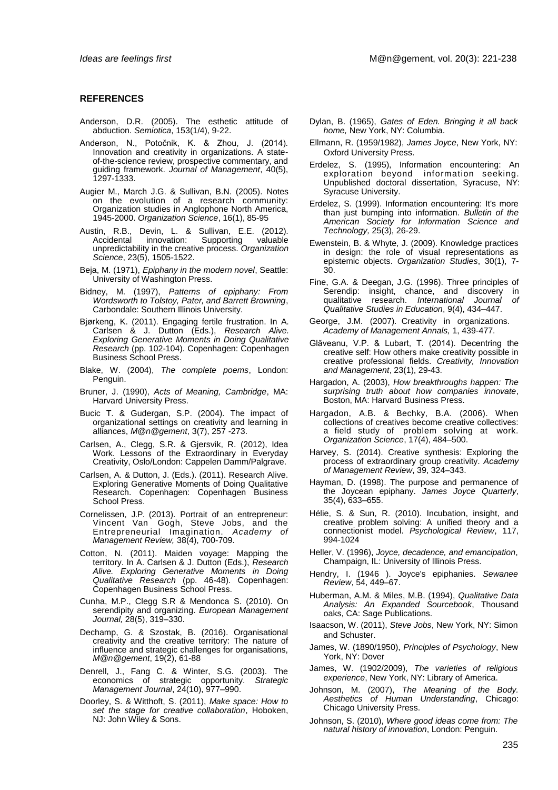#### **REFERENCES**

- Anderson, D.R. (2005). The esthetic attitude of abduction. *Semiotica*, 153(1/4), 9-22.
- Anderson, N., Potočnik, K. & Zhou, J. (2014). Innovation and creativity in organizations. A stateof-the-science review, prospective commentary, and guiding framework. *Journal of Management*, 40(5), 1297-1333.
- Augier M., March J.G. & Sullivan, B.N. (2005). Notes on the evolution of a research community: Organization studies in Anglophone North America, 1945-2000. *Organization Science*, 16(1), 85-95
- Austin, R.B., Devin, L. & Sullivan, E.E. (2012). Accidental innovation: Supporting valuable unpredictability in the creative process. *Organization Science*, 23(5), 1505-1522.
- Beja, M. (1971), *Epiphany in the modern novel*, Seattle: University of Washington Press.
- Bidney, M. (1997), *Patterns of epiphany: From Wordsworth to Tolstoy, Pater, and Barrett Browning*, Carbondale: Southern Illinois University.
- Bjørkeng, K. (2011). Engaging fertile frustration. In A. Carlsen & J. Dutton (Eds.), *Research Alive. Exploring Generative Moments in Doing Qualitative Research* (pp. 102-104). Copenhagen: Copenhagen Business School Press.
- Blake, W. (2004), *The complete poems*, London: Penguin.
- Bruner, J. (1990), *Acts of Meaning, Cambridge*, MA: Harvard University Press.
- Bucic T. & Gudergan, S.P. (2004). The impact of organizational settings on creativity and learning in alliances, *M@n@gement*, 3(7), 257 -273.
- Carlsen, A., Clegg, S.R. & Gjersvik, R. (2012), Idea Work. Lessons of the Extraordinary in Everyday Creativity, Oslo/London: Cappelen Damm/Palgrave.
- Carlsen, A. & Dutton, J. (Eds.). (2011). Research Alive. Exploring Generative Moments of Doing Qualitative Research. Copenhagen: Copenhagen Business School Press.
- Cornelissen, J.P. (2013). Portrait of an entrepreneur: Vincent Van Gogh, Steve Jobs, and the Entrepreneurial Imagination. *Academy of Management Review,* 38(4), 700-709.
- Cotton, N. (2011). Maiden voyage: Mapping the territory. In A. Carlsen & J. Dutton (Eds.), *Research Alive. Exploring Generative Moments in Doing Qualitative Research* (pp. 46-48). Copenhagen: Copenhagen Business School Press.
- Cunha, M.P., Clegg S.R & Mendonca S. (2010). On serendipity and organizing. *European Management Journal,* 28(5), 319–330.
- Dechamp, G. & Szostak, B. (2016). Organisational creativity and the creative territory: The nature of influence and strategic challenges for organisations, *M@n@gement*, 19(2), 61-88
- Denrell, J., Fang C. & Winter, S.G. (2003). The economics of strategic opportunity. *Strategic Management Journal*, 24(10), 977–990.
- Doorley, S. & Witthoft, S. (2011), *Make space: How to set the stage for creative collaboration*, Hoboken, NJ: John Wiley & Sons.
- Dylan, B. (1965), *Gates of Eden. Bringing it all back home,* New York, NY: Columbia.
- Ellmann, R. (1959/1982), *James Joyce*, New York, NY: Oxford University Press.
- Erdelez, S. (1995), Information encountering: An exploration beyond information seeking. Unpublished doctoral dissertation, Syracuse, NY: Syracuse University.
- Erdelez, S. (1999). Information encountering: It's more than just bumping into information. *Bulletin of the American Society for Information Science and Technology,* 25(3), 26-29.
- Ewenstein, B. & Whyte, J. (2009). Knowledge practices in design: the role of visual representations as epistemic objects. *Organization Studies*, 30(1), 7- 30.
- Fine, G.A. & Deegan, J.G. (1996). Three principles of Serendip: insight, chance, and discovery in qualitative research. International Journal of research. *International Journal Qualitative Studies in Education*, 9(4), 434–447.
- George, J.M. (2007). Creativity in organizations. *Academy of Management Annals,* 1, 439-477.
- Glăveanu, V.P. & Lubart, T. (2014). Decentring the creative self: How others make creativity possible in creative professional fields. *Creativity, Innovation and Management*, 23(1), 29-43.
- Hargadon, A. (2003), *How breakthroughs happen: The surprising truth about how companies innovate*, Boston, MA: Harvard Business Press.
- Hargadon, A.B. & Bechky, B.A. (2006). When collections of creatives become creative collectives: a field study of problem solving at work. *Organization Science*, 17(4), 484–500.
- Harvey, S. (2014). Creative synthesis: Exploring the process of extraordinary group creativity. *Academy of Management Review*, 39, 324–343.
- Hayman, D. (1998). The purpose and permanence of the Joycean epiphany. *James Joyce Quarterly*, 35(4), 633–655.
- Hélie, S. & Sun, R. (2010). Incubation, insight, and creative problem solving: A unified theory and a connectionist model. *Psychological Review*, 117, 994-1024
- Heller, V. (1996), *Joyce, decadence, and emancipation*, Champaign, IL: University of Illinois Press.
- Hendry, I. (1946 ). Joyce's epiphanies. *Sewanee Review*, 54, 449–67.
- Huberman, A.M. & Miles, M.B. (1994), *Qualitative Data Analysis: An Expanded Sourcebook*, Thousand oaks, CA: Sage Publications.
- Isaacson, W. (2011), *Steve Jobs*, New York, NY: Simon and Schuster.
- James, W. (1890/1950), *Principles of Psychology*, New York, NY: Dover
- James, W. (1902/2009), *The varieties of religious experience*, New York, NY: Library of America.
- Johnson, M. (2007), *The Meaning of the Body. Aesthetics of Human Understanding*, Chicago: Chicago University Press.
- Johnson, S. (2010), *Where good ideas come from: The natural history of innovation*, London: Penguin.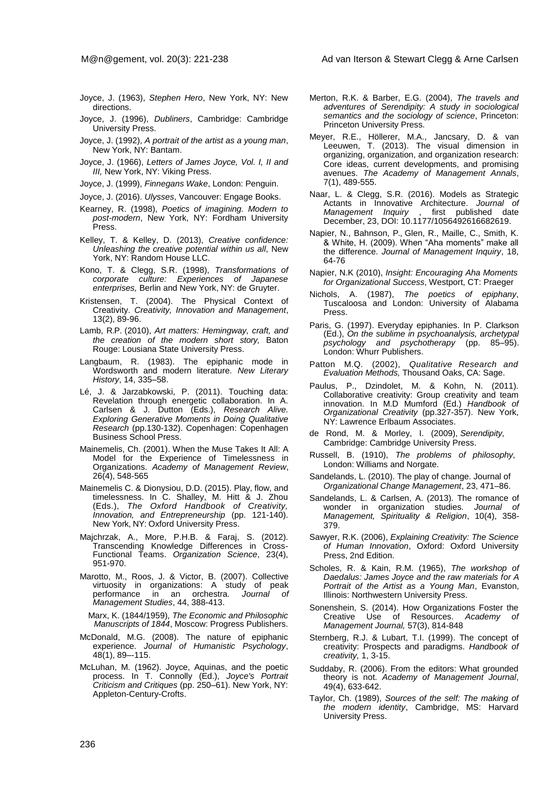- Joyce, J. (1963), *Stephen Hero*, New York, NY: New directions.
- Joyce, J. (1996), *Dubliners*, Cambridge: Cambridge University Press.
- Joyce, J. (1992), *A portrait of the artist as a young man*, New York, NY: Bantam.
- Joyce, J. (1966), *Letters of James Joyce, Vol. I, II and III,* New York, NY: Viking Press.
- Joyce, J. (1999), *Finnegans Wake*, London: Penguin.
- Joyce, J. (2016). *Ulysses*, Vancouver: Engage Books.
- Kearney, R. (1998), *Poetics of imagining. Modern to post-modern*, New York, NY: Fordham University Press.
- Kelley, T. & Kelley, D. (2013), *Creative confidence: Unleashing the creative potential within us all*, New York, NY: Random House LLC.
- Kono, T. & Clegg, S.R. (1998), *Transformations of corporate culture: Experiences of Japanese enterprises,* Berlin and New York, NY: de Gruyter.
- Kristensen, T. (2004). The Physical Context of Creativity. *Creativity, Innovation and Management*, 13(2), 89-96.
- Lamb, R.P. (2010), *Art matters: Hemingway, craft, and the creation of the modern short story,* Baton Rouge: Lousiana State University Press.
- Langbaum, R. (1983). The epiphanic mode in Wordsworth and modern literature. *New Literary History*, 14, 335–58.
- Lé, J. & Jarzabkowski, P. (2011). Touching data: Revelation through energetic collaboration. In A. Carlsen & J. Dutton (Eds.), *Research Alive. Exploring Generative Moments in Doing Qualitative Research* (pp.130-132). Copenhagen: Copenhagen Business School Press.
- Mainemelis, Ch. (2001). When the Muse Takes It All: A Model for the Experience of Timelessness in Organizations. *Academy of Management Review*, 26(4), 548-565
- Mainemelis C. & Dionysiou, D.D. (2015). Play, flow, and timelessness. In C. Shalley, M. Hitt & J. Zhou (Eds.), *The Oxford Handbook of Creativity, Innovation, and Entrepreneurship* (pp. 121-140). New York, NY: Oxford University Press.
- Majchrzak, A., More, P.H.B. & Faraj, S. (2012). Transcending Knowledge Differences in Cross-Functional Teams. *Organization Science*, 23(4), 951-970.
- Marotto, M., Roos, J. & Victor, B. (2007). Collective virtuosity in organizations: A study of peak performance in an orchestra. *Journal of Management Studies*, 44, 388-413.
	- Marx, K. (1844/1959), *The Economic and Philosophic Manuscripts of 1844*, Moscow: Progress Publishers.
- McDonald, M.G. (2008). The nature of epiphanic experience. *Journal of Humanistic Psychology*, 48(1), 89–-115.
- McLuhan, M. (1962). Joyce, Aquinas, and the poetic process. In T. Connolly (Ed.), *Joyce's Portrait Criticism and Critiques* (pp. 250–61). New York, NY: Appleton-Century-Crofts.
- Merton, R.K. & Barber, E.G. (2004), *The travels and adventures of Serendipity: A study in sociological semantics and the sociology of science*, Princeton: Princeton University Press.
- Meyer, R.E., Höllerer, M.A., Jancsary, D. & van Leeuwen, T. (2013). The visual dimension in organizing, organization, and organization research: Core ideas, current developments, and promising avenues. *The Academy of Management Annals*, 7(1), 489-555.
- Naar, L. & Clegg, S.R. (2016). Models as Strategic Actants in Innovative Architecture. *Journal of*  first published date December, 23, DOI: 10.1177/1056492616682619.
- Napier, N., Bahnson, P., Glen, R., Maille, C., Smith, K. & White, H. (2009). When "Aha moments" make all the difference. *Journal of Management Inquiry*, 18, 64-76
- Napier, N.K (2010), *Insight: Encouraging Aha Moments for Organizational Success*, Westport, CT: Praeger
- Nichols, A. (1987), *The poetics of epiphany*, Tuscaloosa and London: University of Alabama Press.
- Paris, G. (1997). Everyday epiphanies. In P. Clarkson (Ed.), *On the sublime in psychoanalysis, archetypal psychology and psychotherapy* (pp. 85–95). London: Whurr Publishers.
- Patton M.Q. (2002), *Qualitative Research and Evaluation Methods,* Thousand Oaks, CA: Sage.
- Paulus, P., Dzindolet, M. & Kohn, N. (2011). Collaborative creativity: Group creativity and team innovation. In M.D Mumford (Ed.) *Handbook of Organizational Creativity* (pp.327-357). New York, NY: Lawrence Erlbaum Associates.
- de Rond, M. & Morley, I. (2009), *Serendipity,* Cambridge: Cambridge University Press.
- Russell, B. (1910), *The problems of philosophy,* London: Williams and Norgate.
- Sandelands, L. (2010). The play of change. Journal of *Organizational Change Management*, 23, 471–86.
- Sandelands, L. & Carlsen, A. (2013). The romance of wonder in organization studies. *Journal of Management, Spirituality & Religion*, 10(4), 358- 379.
- Sawyer, R.K. (2006), *Explaining Creativity: The Science of Human Innovation*, Oxford: Oxford University Press, 2nd Edition.
- Scholes, R. & Kain, R.M. (1965), *The workshop of Daedalus: James Joyce and the raw materials for A Portrait of the Artist as a Young Man*, Evanston, Illinois: Northwestern University Press.
- Sonenshein, S. (2014). How Organizations Foster the Creative Use of Resources. *Academy of Management Journal,* 57(3), 814-848
- Sternberg, R.J. & Lubart, T.I. (1999). The concept of creativity: Prospects and paradigms. *Handbook of creativity,* 1, 3-15.
- Suddaby, R. (2006). From the editors: What grounded theory is not. *Academy of Management Journal*, 49(4), 633-642.
- Taylor, Ch. (1989), *Sources of the self: The making of the modern identity*, Cambridge, MS: Harvard University Press.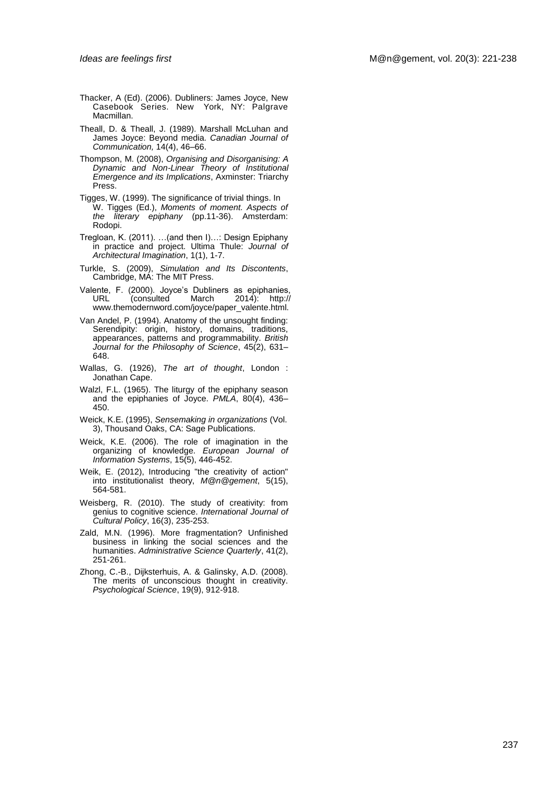- Thacker, A (Ed). (2006). Dubliners: James Joyce, New Casebook Series. New York, NY: Palgrave Macmillan.
- Theall, D. & Theall, J. (1989). Marshall McLuhan and James Joyce: Beyond media. *Canadian Journal of Communication,* 14(4), 46–66.
- Thompson, M. (2008), *Organising and Disorganising: A Dynamic and Non-Linear Theory of Institutional Emergence and its Implications*, Axminster: Triarchy Press.
- Tigges, W. (1999). The significance of trivial things. In W. Tigges (Ed.), *Moments of moment. Aspects of the literary epiphany* (pp.11-36). Amsterdam: Rodopi.
- Tregloan, K. (2011). …(and then I)…: Design Epiphany in practice and project. Ultima Thule: *Journal of Architectural Imagination*, 1(1), 1-7.
- Turkle, S. (2009), *Simulation and Its Discontents*, Cambridge, MA: The MIT Press.
- Valente, F. (2000). Joyce's Dubliners as epiphanies, 2014): http:// [www.themodernword.com/joyce/p](http://www.themodernword.com/joyce/)aper\_valente.html.
- Van Andel, P. (1994). Anatomy of the unsought finding: Serendipity: origin, history, domains, traditions, appearances, patterns and programmability. *British Journal for the Philosophy of Science*, 45(2), 631– 648.
- Wallas, G. (1926), *The art of thought*, London : Jonathan Cape.
- Walzl, F.L. (1965). The liturgy of the epiphany season and the epiphanies of Joyce. *PMLA*, 80(4), 436– 450.
- Weick, K.E. (1995), *Sensemaking in organizations* (Vol. 3), Thousand Oaks, CA: Sage Publications.
- Weick, K.E. (2006). The role of imagination in the organizing of knowledge. *European Journal of Information Systems*, 15(5), 446-452.
- Weik, E. (2012), Introducing "the creativity of action" into institutionalist theory, *M@n@gement*, 5(15), 564-581.
- Weisberg, R. (2010). The study of creativity: from genius to cognitive science. *International Journal of Cultural Policy*, 16(3), 235-253.
- Zald, M.N. (1996). More fragmentation? Unfinished business in linking the social sciences and the humanities. *Administrative Science Quarterly*, 41(2), 251-261.
- Zhong, C.-B., Dijksterhuis, A. & Galinsky, A.D. (2008). The merits of unconscious thought in creativity. Psychological Science, 19(9), 912-918.